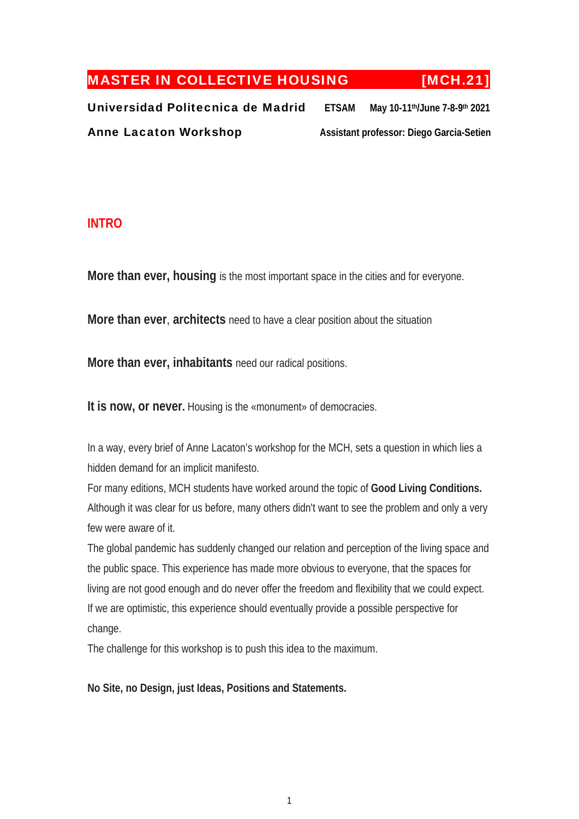# MASTER IN COLLECTIVE HOUSING [MCH.21]

Universidad Politecnica de Madrid **ETSAM May 10-11th/June 7-8-9th 2021** Anne Lacaton Workshop **Assistant professor: Diego Garcia-Setien** 

# **INTRO**

**More than ever, housing** is the most important space in the cities and for everyone.

**More than ever**, **architects** need to have a clear position about the situation

**More than ever, inhabitants** need our radical positions.

**It is now, or never.** Housing is the «monument» of democracies.

In a way, every brief of Anne Lacaton's workshop for the MCH, sets a question in which lies a hidden demand for an implicit manifesto.

For many editions, MCH students have worked around the topic of **Good Living Conditions.** Although it was clear for us before, many others didn't want to see the problem and only a very few were aware of it.

The global pandemic has suddenly changed our relation and perception of the living space and the public space. This experience has made more obvious to everyone, that the spaces for living are not good enough and do never offer the freedom and flexibility that we could expect. If we are optimistic, this experience should eventually provide a possible perspective for change.

The challenge for this workshop is to push this idea to the maximum.

**No Site, no Design, just Ideas, Positions and Statements.**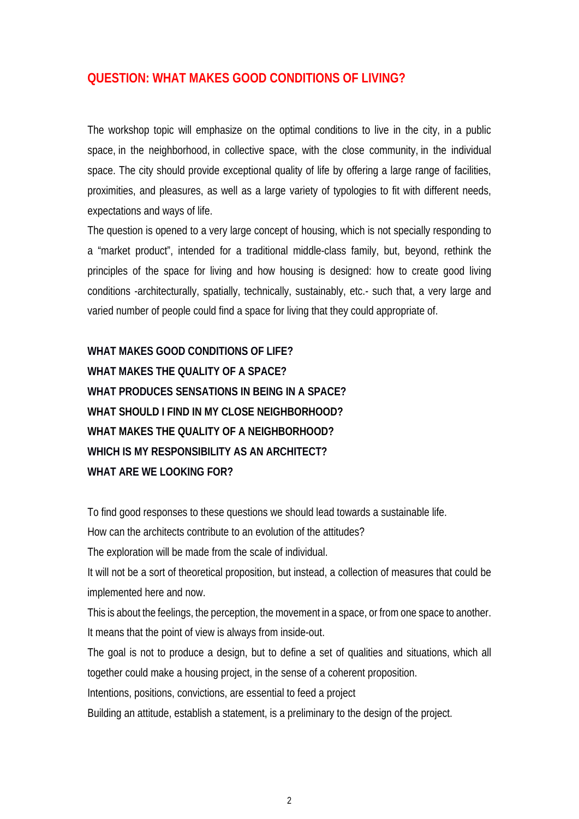# **QUESTION: WHAT MAKES GOOD CONDITIONS OF LIVING?**

The workshop topic will emphasize on the optimal conditions to live in the city, in a public space, in the neighborhood, in collective space, with the close community, in the individual space. The city should provide exceptional quality of life by offering a large range of facilities, proximities, and pleasures, as well as a large variety of typologies to fit with different needs, expectations and ways of life.

The question is opened to a very large concept of housing, which is not specially responding to a "market product", intended for a traditional middle-class family, but, beyond, rethink the principles of the space for living and how housing is designed: how to create good living conditions -architecturally, spatially, technically, sustainably, etc.- such that, a very large and varied number of people could find a space for living that they could appropriate of.

**WHAT MAKES GOOD CONDITIONS OF LIFE? WHAT MAKES THE QUALITY OF A SPACE? WHAT PRODUCES SENSATIONS IN BEING IN A SPACE? WHAT SHOULD I FIND IN MY CLOSE NEIGHBORHOOD? WHAT MAKES THE QUALITY OF A NEIGHBORHOOD? WHICH IS MY RESPONSIBILITY AS AN ARCHITECT? WHAT ARE WE LOOKING FOR?** 

To find good responses to these questions we should lead towards a sustainable life. How can the architects contribute to an evolution of the attitudes?

The exploration will be made from the scale of individual.

It will not be a sort of theoretical proposition, but instead, a collection of measures that could be implemented here and now.

This is about the feelings, the perception, the movement in a space, or from one space to another. It means that the point of view is always from inside-out.

The goal is not to produce a design, but to define a set of qualities and situations, which all together could make a housing project, in the sense of a coherent proposition.

Intentions, positions, convictions, are essential to feed a project

Building an attitude, establish a statement, is a preliminary to the design of the project.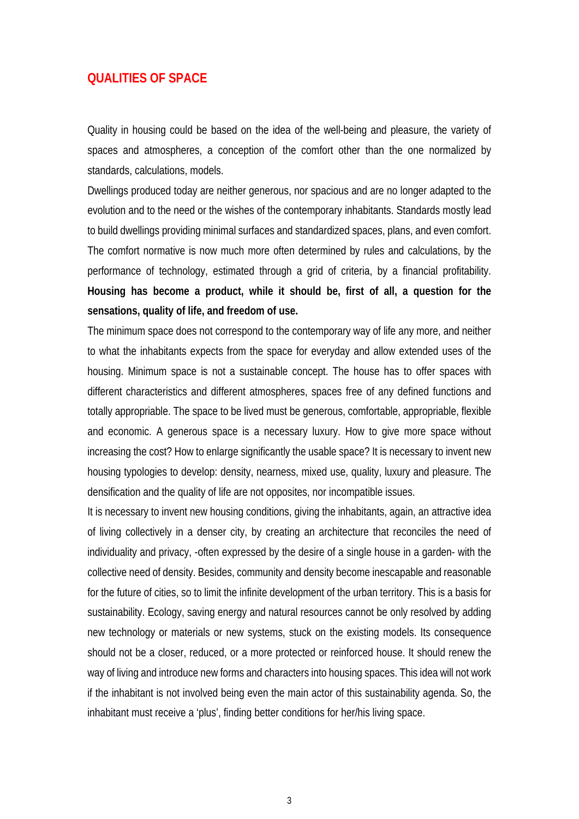## **QUALITIES OF SPACE**

Quality in housing could be based on the idea of the well-being and pleasure, the variety of spaces and atmospheres, a conception of the comfort other than the one normalized by standards, calculations, models.

Dwellings produced today are neither generous, nor spacious and are no longer adapted to the evolution and to the need or the wishes of the contemporary inhabitants. Standards mostly lead to build dwellings providing minimal surfaces and standardized spaces, plans, and even comfort. The comfort normative is now much more often determined by rules and calculations, by the performance of technology, estimated through a grid of criteria, by a financial profitability. **Housing has become a product, while it should be, first of all, a question for the sensations, quality of life, and freedom of use.** 

The minimum space does not correspond to the contemporary way of life any more, and neither to what the inhabitants expects from the space for everyday and allow extended uses of the housing. Minimum space is not a sustainable concept. The house has to offer spaces with different characteristics and different atmospheres, spaces free of any defined functions and totally appropriable. The space to be lived must be generous, comfortable, appropriable, flexible and economic. A generous space is a necessary luxury. How to give more space without increasing the cost? How to enlarge significantly the usable space? It is necessary to invent new housing typologies to develop: density, nearness, mixed use, quality, luxury and pleasure. The densification and the quality of life are not opposites, nor incompatible issues.

It is necessary to invent new housing conditions, giving the inhabitants, again, an attractive idea of living collectively in a denser city, by creating an architecture that reconciles the need of individuality and privacy, -often expressed by the desire of a single house in a garden- with the collective need of density. Besides, community and density become inescapable and reasonable for the future of cities, so to limit the infinite development of the urban territory. This is a basis for sustainability. Ecology, saving energy and natural resources cannot be only resolved by adding new technology or materials or new systems, stuck on the existing models. Its consequence should not be a closer, reduced, or a more protected or reinforced house. It should renew the way of living and introduce new forms and characters into housing spaces. This idea will not work if the inhabitant is not involved being even the main actor of this sustainability agenda. So, the inhabitant must receive a 'plus', finding better conditions for her/his living space.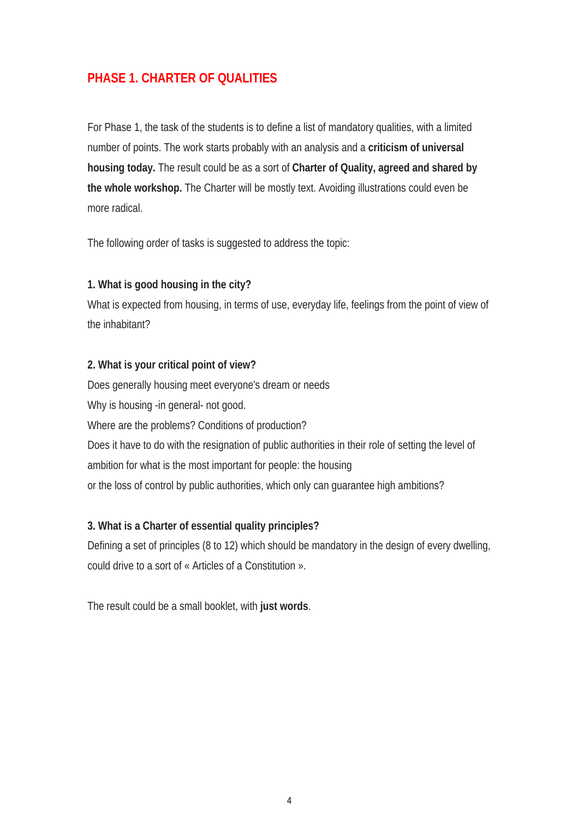# **PHASE 1. CHARTER OF QUALITIES**

For Phase 1, the task of the students is to define a list of mandatory qualities, with a limited number of points. The work starts probably with an analysis and a **criticism of universal housing today.** The result could be as a sort of **Charter of Quality, agreed and shared by the whole workshop.** The Charter will be mostly text. Avoiding illustrations could even be more radical.

The following order of tasks is suggested to address the topic:

## **1. What is good housing in the city?**

What is expected from housing, in terms of use, everyday life, feelings from the point of view of the inhabitant?

## **2. What is your critical point of view?**

Does generally housing meet everyone's dream or needs Why is housing -in general- not good. Where are the problems? Conditions of production? Does it have to do with the resignation of public authorities in their role of setting the level of ambition for what is the most important for people: the housing or the loss of control by public authorities, which only can guarantee high ambitions?

## **3. What is a Charter of essential quality principles?**

Defining a set of principles (8 to 12) which should be mandatory in the design of every dwelling, could drive to a sort of « Articles of a Constitution ».

The result could be a small booklet, with **just words**.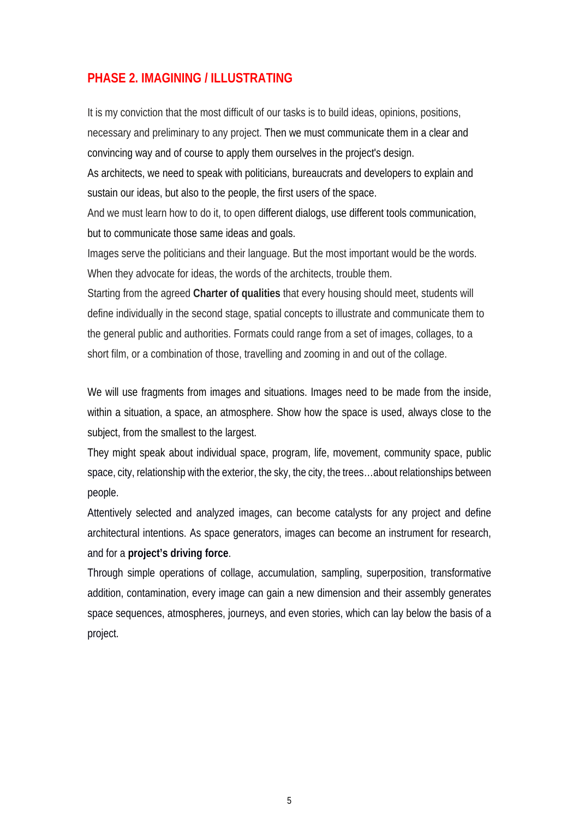# **PHASE 2. IMAGINING / ILLUSTRATING**

It is my conviction that the most difficult of our tasks is to build ideas, opinions, positions, necessary and preliminary to any project. Then we must communicate them in a clear and convincing way and of course to apply them ourselves in the project's design.

As architects, we need to speak with politicians, bureaucrats and developers to explain and sustain our ideas, but also to the people, the first users of the space.

And we must learn how to do it, to open different dialogs, use different tools communication, but to communicate those same ideas and goals.

Images serve the politicians and their language. But the most important would be the words. When they advocate for ideas, the words of the architects, trouble them.

Starting from the agreed **Charter of qualities** that every housing should meet, students will define individually in the second stage, spatial concepts to illustrate and communicate them to the general public and authorities. Formats could range from a set of images, collages, to a short film, or a combination of those, travelling and zooming in and out of the collage.

We will use fragments from images and situations. Images need to be made from the inside, within a situation, a space, an atmosphere. Show how the space is used, always close to the subject, from the smallest to the largest.

They might speak about individual space, program, life, movement, community space, public space, city, relationship with the exterior, the sky, the city, the trees…about relationships between people.

Attentively selected and analyzed images, can become catalysts for any project and define architectural intentions. As space generators, images can become an instrument for research, and for a **project's driving force**.

Through simple operations of collage, accumulation, sampling, superposition, transformative addition, contamination, every image can gain a new dimension and their assembly generates space sequences, atmospheres, journeys, and even stories, which can lay below the basis of a project.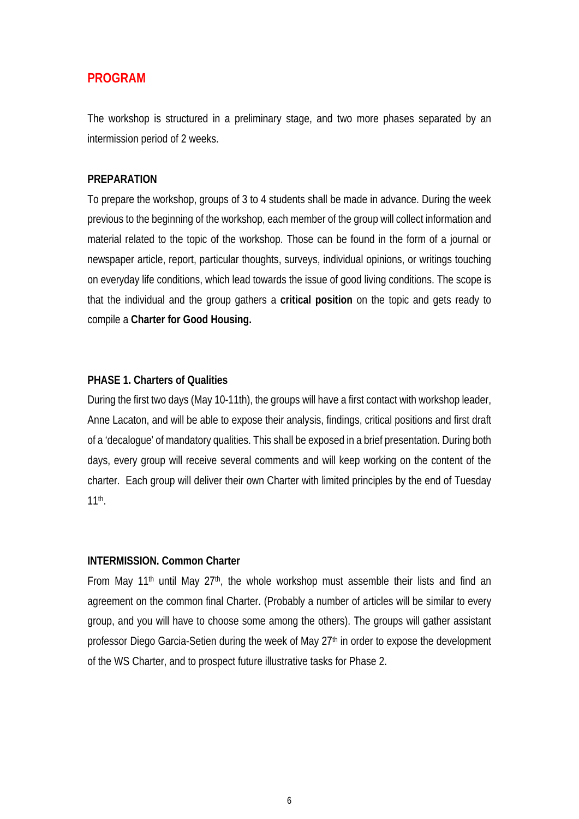# **PROGRAM**

The workshop is structured in a preliminary stage, and two more phases separated by an intermission period of 2 weeks.

### **PREPARATION**

To prepare the workshop, groups of 3 to 4 students shall be made in advance. During the week previous to the beginning of the workshop, each member of the group will collect information and material related to the topic of the workshop. Those can be found in the form of a journal or newspaper article, report, particular thoughts, surveys, individual opinions, or writings touching on everyday life conditions, which lead towards the issue of good living conditions. The scope is that the individual and the group gathers a **critical position** on the topic and gets ready to compile a **Charter for Good Housing.**

## **PHASE 1. Charters of Qualities**

During the first two days (May 10-11th), the groups will have a first contact with workshop leader, Anne Lacaton, and will be able to expose their analysis, findings, critical positions and first draft of a 'decalogue' of mandatory qualities. This shall be exposed in a brief presentation. During both days, every group will receive several comments and will keep working on the content of the charter. Each group will deliver their own Charter with limited principles by the end of Tuesday 11th.

## **INTERMISSION. Common Charter**

From May 11<sup>th</sup> until May 27<sup>th</sup>, the whole workshop must assemble their lists and find an agreement on the common final Charter. (Probably a number of articles will be similar to every group, and you will have to choose some among the others). The groups will gather assistant professor Diego Garcia-Setien during the week of May 27<sup>th</sup> in order to expose the development of the WS Charter, and to prospect future illustrative tasks for Phase 2.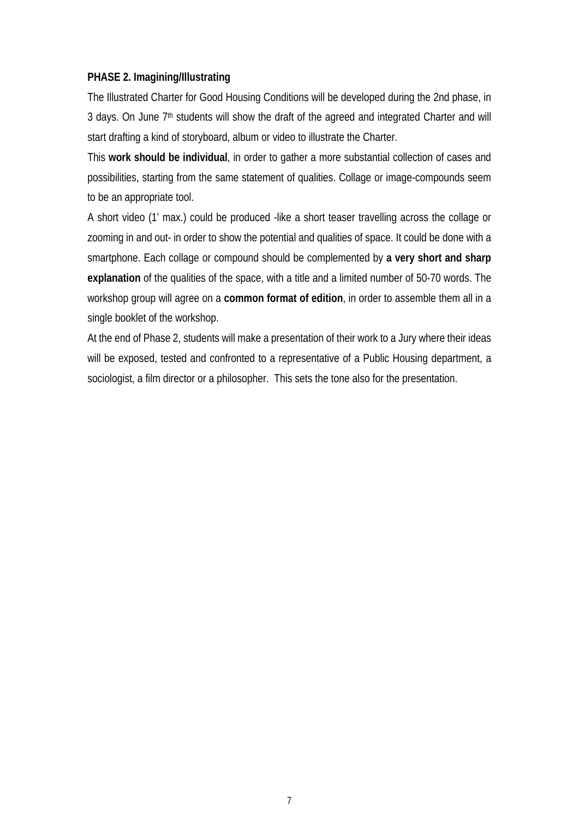## **PHASE 2. Imagining/Illustrating**

The Illustrated Charter for Good Housing Conditions will be developed during the 2nd phase, in 3 days. On June 7<sup>th</sup> students will show the draft of the agreed and integrated Charter and will start drafting a kind of storyboard, album or video to illustrate the Charter.

This **work should be individual**, in order to gather a more substantial collection of cases and possibilities, starting from the same statement of qualities. Collage or image-compounds seem to be an appropriate tool.

A short video (1' max.) could be produced -like a short teaser travelling across the collage or zooming in and out- in order to show the potential and qualities of space. It could be done with a smartphone. Each collage or compound should be complemented by **a very short and sharp explanation** of the qualities of the space, with a title and a limited number of 50-70 words. The workshop group will agree on a **common format of edition**, in order to assemble them all in a single booklet of the workshop.

At the end of Phase 2, students will make a presentation of their work to a Jury where their ideas will be exposed, tested and confronted to a representative of a Public Housing department, a sociologist, a film director or a philosopher. This sets the tone also for the presentation.